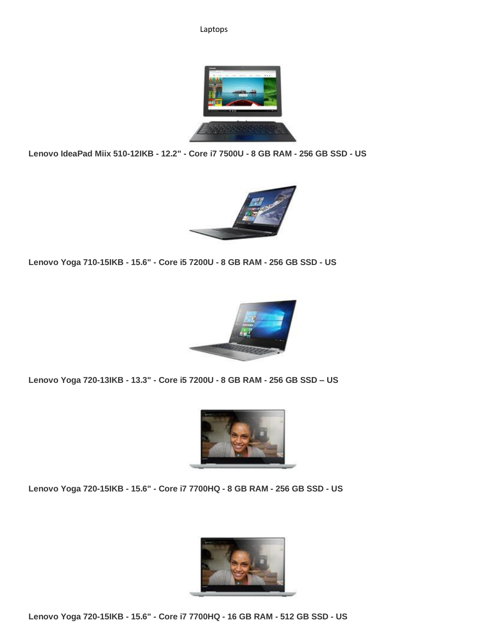## Laptops



**Lenovo IdeaPad Miix 510-12IKB - 12.2" - Core i7 7500U - 8 GB RAM - 256 GB SSD - US**



**Lenovo Yoga 710-15IKB - 15.6" - Core i5 7200U - 8 GB RAM - 256 GB SSD - US**



**Lenovo Yoga 720-13IKB - 13.3" - Core i5 7200U - 8 GB RAM - 256 GB SSD – US**



**Lenovo Yoga 720-15IKB - 15.6" - Core i7 7700HQ - 8 GB RAM - 256 GB SSD - US**



**Lenovo Yoga 720-15IKB - 15.6" - Core i7 7700HQ - 16 GB RAM - 512 GB SSD - US**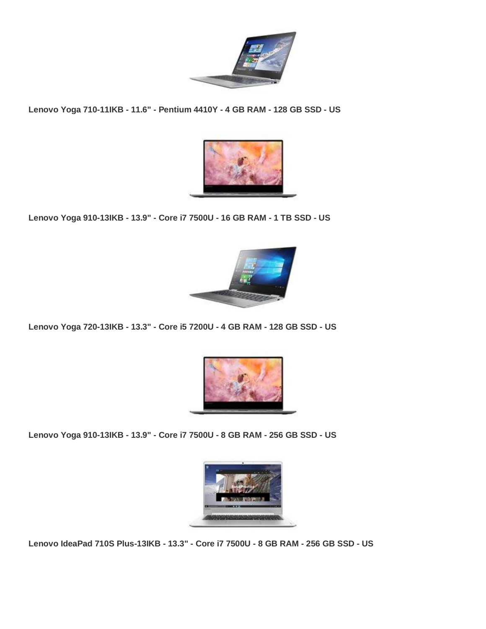

**Lenovo Yoga 710-11IKB - 11.6" - Pentium 4410Y - 4 GB RAM - 128 GB SSD - US**



**Lenovo Yoga 910-13IKB - 13.9" - Core i7 7500U - 16 GB RAM - 1 TB SSD - US**



**Lenovo Yoga 720-13IKB - 13.3" - Core i5 7200U - 4 GB RAM - 128 GB SSD - US**



**Lenovo Yoga 910-13IKB - 13.9" - Core i7 7500U - 8 GB RAM - 256 GB SSD - US**



**Lenovo IdeaPad 710S Plus-13IKB - 13.3" - Core i7 7500U - 8 GB RAM - 256 GB SSD - US**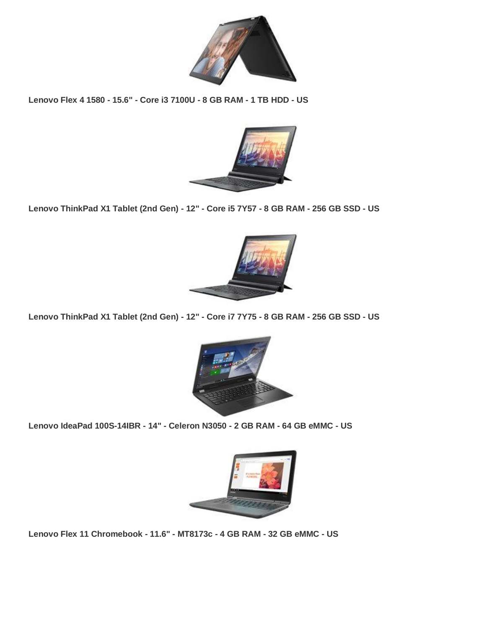

**Lenovo Flex 4 1580 - 15.6" - Core i3 7100U - 8 GB RAM - 1 TB HDD - US**



**Lenovo ThinkPad X1 Tablet (2nd Gen) - 12" - Core i5 7Y57 - 8 GB RAM - 256 GB SSD - US**



**Lenovo ThinkPad X1 Tablet (2nd Gen) - 12" - Core i7 7Y75 - 8 GB RAM - 256 GB SSD - US**



**Lenovo IdeaPad 100S-14IBR - 14" - Celeron N3050 - 2 GB RAM - 64 GB eMMC - US**



**Lenovo Flex 11 Chromebook - 11.6" - MT8173c - 4 GB RAM - 32 GB eMMC - US**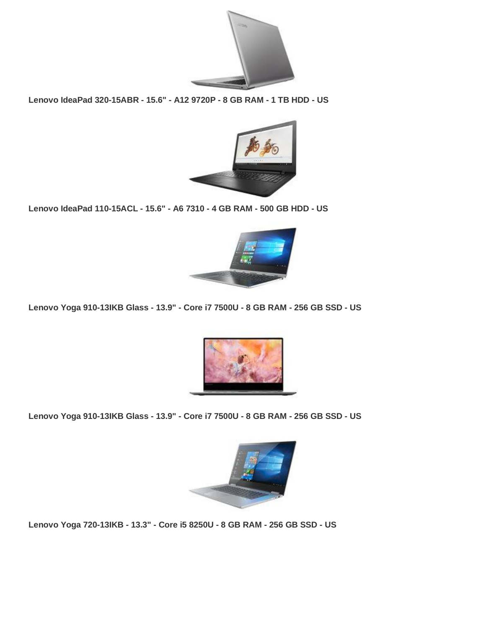

**Lenovo IdeaPad 320-15ABR - 15.6" - A12 9720P - 8 GB RAM - 1 TB HDD - US**



**Lenovo IdeaPad 110-15ACL - 15.6" - A6 7310 - 4 GB RAM - 500 GB HDD - US**



**Lenovo Yoga 910-13IKB Glass - 13.9" - Core i7 7500U - 8 GB RAM - 256 GB SSD - US**



**Lenovo Yoga 910-13IKB Glass - 13.9" - Core i7 7500U - 8 GB RAM - 256 GB SSD - US**



**Lenovo Yoga 720-13IKB - 13.3" - Core i5 8250U - 8 GB RAM - 256 GB SSD - US**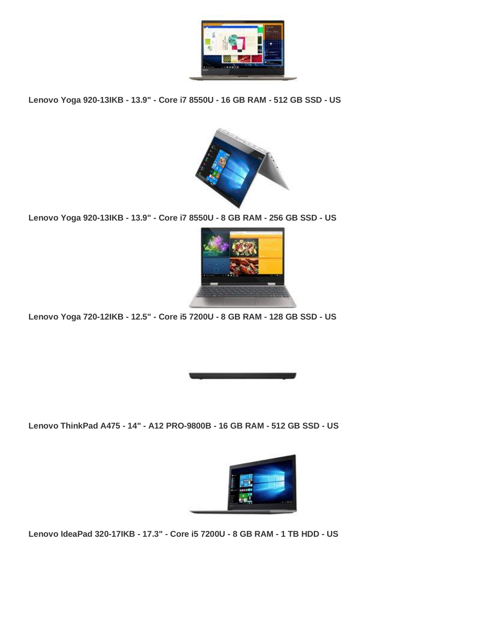

**Lenovo Yoga 920-13IKB - 13.9" - Core i7 8550U - 16 GB RAM - 512 GB SSD - US**



**Lenovo Yoga 920-13IKB - 13.9" - Core i7 8550U - 8 GB RAM - 256 GB SSD - US**



**Lenovo Yoga 720-12IKB - 12.5" - Core i5 7200U - 8 GB RAM - 128 GB SSD - US**



**Lenovo ThinkPad A475 - 14" - A12 PRO-9800B - 16 GB RAM - 512 GB SSD - US**



**Lenovo IdeaPad 320-17IKB - 17.3" - Core i5 7200U - 8 GB RAM - 1 TB HDD - US**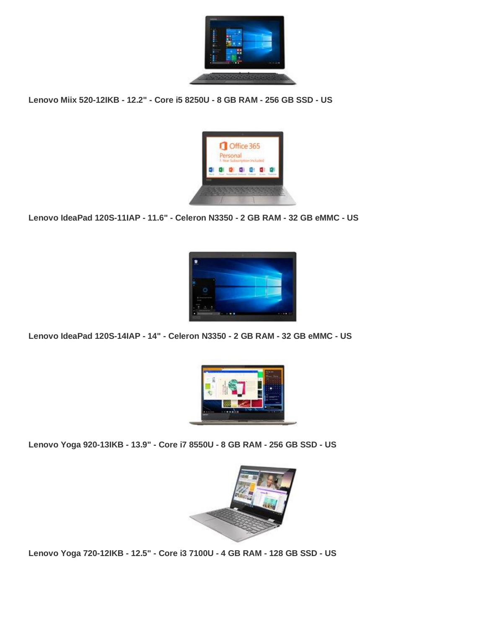

**Lenovo Miix 520-12IKB - 12.2" - Core i5 8250U - 8 GB RAM - 256 GB SSD - US**



**Lenovo IdeaPad 120S-11IAP - 11.6" - Celeron N3350 - 2 GB RAM - 32 GB eMMC - US**



**Lenovo IdeaPad 120S-14IAP - 14" - Celeron N3350 - 2 GB RAM - 32 GB eMMC - US**



**Lenovo Yoga 920-13IKB - 13.9" - Core i7 8550U - 8 GB RAM - 256 GB SSD - US**



**Lenovo Yoga 720-12IKB - 12.5" - Core i3 7100U - 4 GB RAM - 128 GB SSD - US**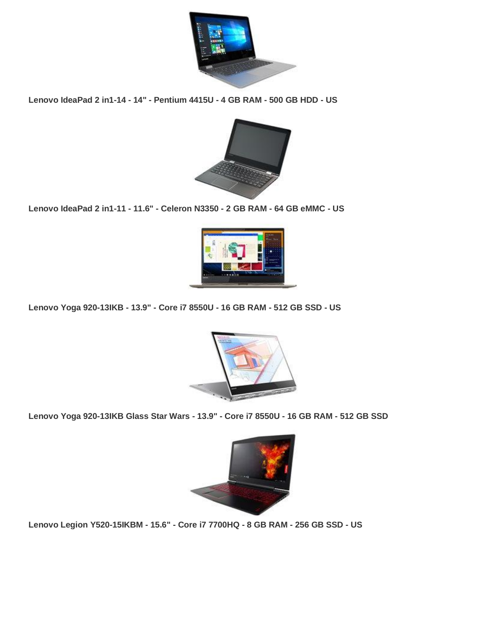

**Lenovo IdeaPad 2 in1-14 - 14" - Pentium 4415U - 4 GB RAM - 500 GB HDD - US**



**Lenovo IdeaPad 2 in1-11 - 11.6" - Celeron N3350 - 2 GB RAM - 64 GB eMMC - US**



**Lenovo Yoga 920-13IKB - 13.9" - Core i7 8550U - 16 GB RAM - 512 GB SSD - US**



**Lenovo Yoga 920-13IKB Glass Star Wars - 13.9" - Core i7 8550U - 16 GB RAM - 512 GB SSD**



**Lenovo Legion Y520-15IKBM - 15.6" - Core i7 7700HQ - 8 GB RAM - 256 GB SSD - US**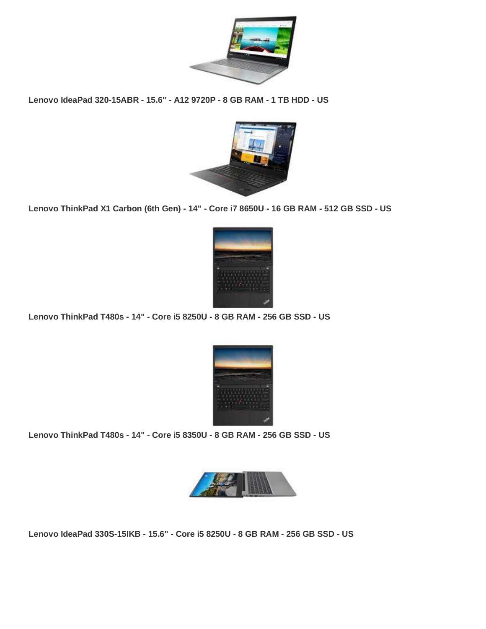

**Lenovo IdeaPad 320-15ABR - 15.6" - A12 9720P - 8 GB RAM - 1 TB HDD - US**



**Lenovo ThinkPad X1 Carbon (6th Gen) - 14" - Core i7 8650U - 16 GB RAM - 512 GB SSD - US**



**Lenovo ThinkPad T480s - 14" - Core i5 8250U - 8 GB RAM - 256 GB SSD - US**



**Lenovo ThinkPad T480s - 14" - Core i5 8350U - 8 GB RAM - 256 GB SSD - US**



**Lenovo IdeaPad 330S-15IKB - 15.6" - Core i5 8250U - 8 GB RAM - 256 GB SSD - US**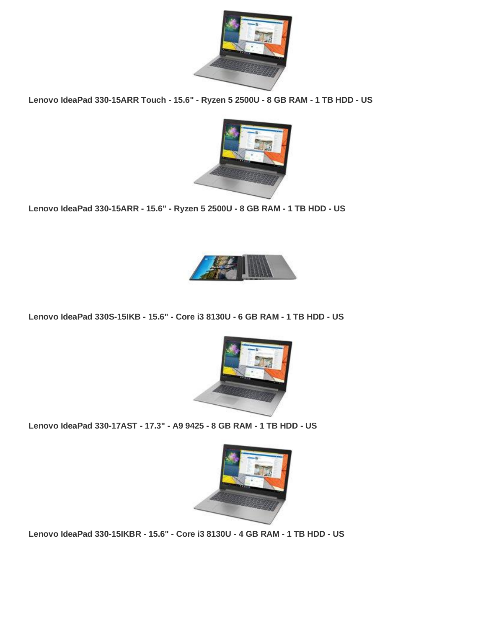

**Lenovo IdeaPad 330-15ARR Touch - 15.6" - Ryzen 5 2500U - 8 GB RAM - 1 TB HDD - US**



**Lenovo IdeaPad 330-15ARR - 15.6" - Ryzen 5 2500U - 8 GB RAM - 1 TB HDD - US**



**Lenovo IdeaPad 330S-15IKB - 15.6" - Core i3 8130U - 6 GB RAM - 1 TB HDD - US**



**Lenovo IdeaPad 330-17AST - 17.3" - A9 9425 - 8 GB RAM - 1 TB HDD - US**



**Lenovo IdeaPad 330-15IKBR - 15.6" - Core i3 8130U - 4 GB RAM - 1 TB HDD - US**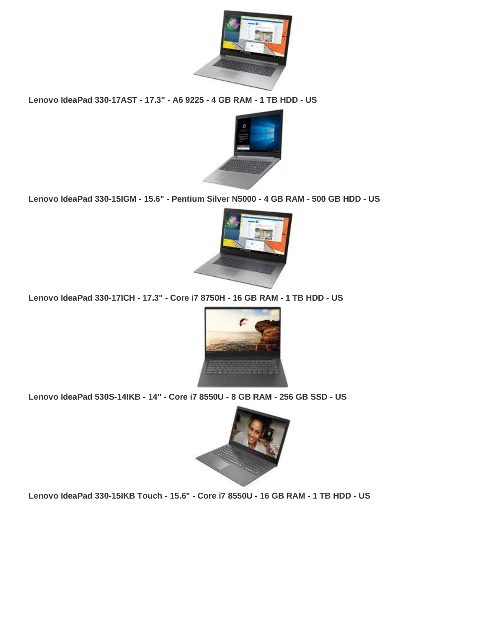

**Lenovo IdeaPad 330-17AST - 17.3" - A6 9225 - 4 GB RAM - 1 TB HDD - US**



**Lenovo IdeaPad 330-15IGM - 15.6" - Pentium Silver N5000 - 4 GB RAM - 500 GB HDD - US**



**Lenovo IdeaPad 330-17ICH - 17.3" - Core i7 8750H - 16 GB RAM - 1 TB HDD - US**



**Lenovo IdeaPad 530S-14IKB - 14" - Core i7 8550U - 8 GB RAM - 256 GB SSD - US**



**Lenovo IdeaPad 330-15IKB Touch - 15.6" - Core i7 8550U - 16 GB RAM - 1 TB HDD - US**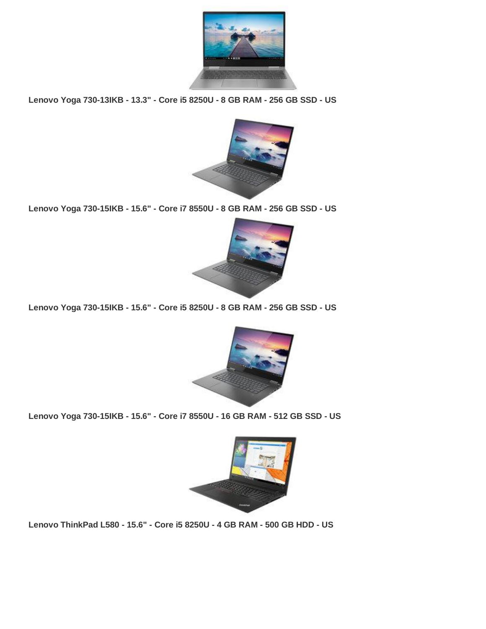

**Lenovo Yoga 730-13IKB - 13.3" - Core i5 8250U - 8 GB RAM - 256 GB SSD - US**



**Lenovo Yoga 730-15IKB - 15.6" - Core i7 8550U - 8 GB RAM - 256 GB SSD - US**



**Lenovo Yoga 730-15IKB - 15.6" - Core i5 8250U - 8 GB RAM - 256 GB SSD - US**



**Lenovo Yoga 730-15IKB - 15.6" - Core i7 8550U - 16 GB RAM - 512 GB SSD - US**



**Lenovo ThinkPad L580 - 15.6" - Core i5 8250U - 4 GB RAM - 500 GB HDD - US**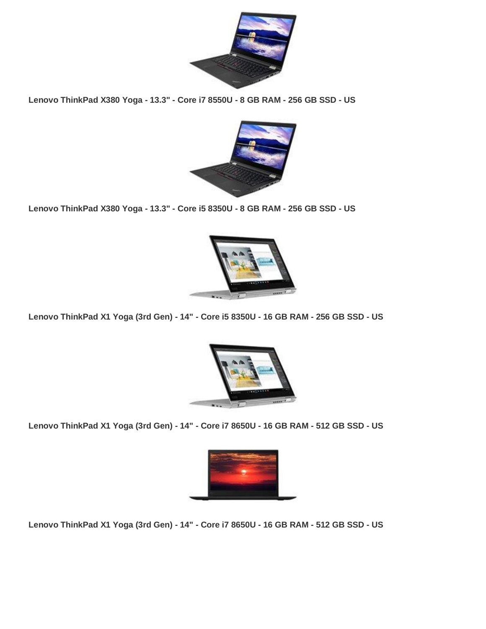

**Lenovo ThinkPad X380 Yoga - 13.3" - Core i7 8550U - 8 GB RAM - 256 GB SSD - US**



**Lenovo ThinkPad X380 Yoga - 13.3" - Core i5 8350U - 8 GB RAM - 256 GB SSD - US**



**Lenovo ThinkPad X1 Yoga (3rd Gen) - 14" - Core i5 8350U - 16 GB RAM - 256 GB SSD - US**



**Lenovo ThinkPad X1 Yoga (3rd Gen) - 14" - Core i7 8650U - 16 GB RAM - 512 GB SSD - US**



**Lenovo ThinkPad X1 Yoga (3rd Gen) - 14" - Core i7 8650U - 16 GB RAM - 512 GB SSD - US**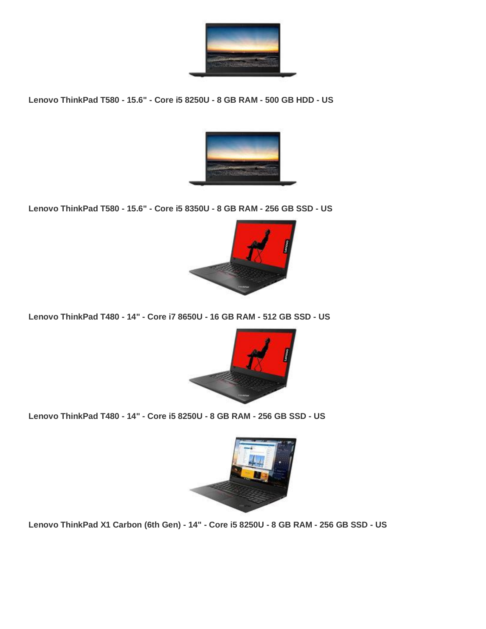

**Lenovo ThinkPad T580 - 15.6" - Core i5 8250U - 8 GB RAM - 500 GB HDD - US**



**Lenovo ThinkPad T580 - 15.6" - Core i5 8350U - 8 GB RAM - 256 GB SSD - US**



**Lenovo ThinkPad T480 - 14" - Core i7 8650U - 16 GB RAM - 512 GB SSD - US**



**Lenovo ThinkPad T480 - 14" - Core i5 8250U - 8 GB RAM - 256 GB SSD - US**



**Lenovo ThinkPad X1 Carbon (6th Gen) - 14" - Core i5 8250U - 8 GB RAM - 256 GB SSD - US**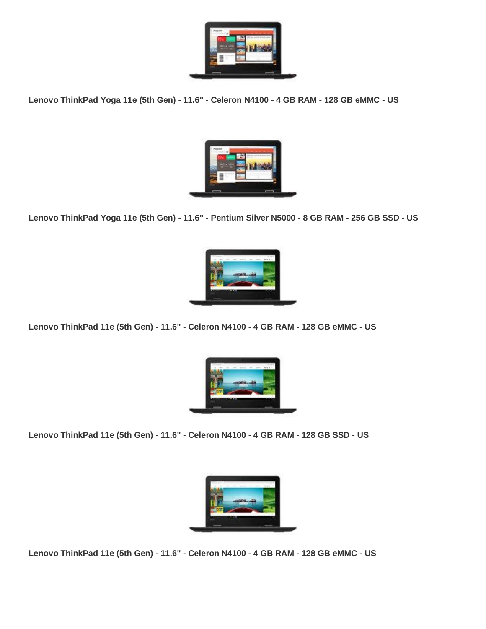

**Lenovo ThinkPad Yoga 11e (5th Gen) - 11.6" - Celeron N4100 - 4 GB RAM - 128 GB eMMC - US**



**Lenovo ThinkPad Yoga 11e (5th Gen) - 11.6" - Pentium Silver N5000 - 8 GB RAM - 256 GB SSD - US**



**Lenovo ThinkPad 11e (5th Gen) - 11.6" - Celeron N4100 - 4 GB RAM - 128 GB eMMC - US**



**Lenovo ThinkPad 11e (5th Gen) - 11.6" - Celeron N4100 - 4 GB RAM - 128 GB SSD - US**



**Lenovo ThinkPad 11e (5th Gen) - 11.6" - Celeron N4100 - 4 GB RAM - 128 GB eMMC - US**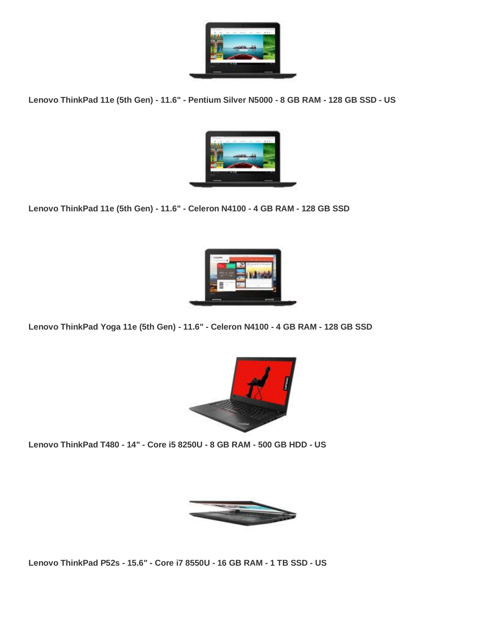

**Lenovo ThinkPad 11e (5th Gen) - 11.6" - Pentium Silver N5000 - 8 GB RAM - 128 GB SSD - US**



**Lenovo ThinkPad 11e (5th Gen) - 11.6" - Celeron N4100 - 4 GB RAM - 128 GB SSD**



**Lenovo ThinkPad Yoga 11e (5th Gen) - 11.6" - Celeron N4100 - 4 GB RAM - 128 GB SSD**



**Lenovo ThinkPad T480 - 14" - Core i5 8250U - 8 GB RAM - 500 GB HDD - US**



**Lenovo ThinkPad P52s - 15.6" - Core i7 8550U - 16 GB RAM - 1 TB SSD - US**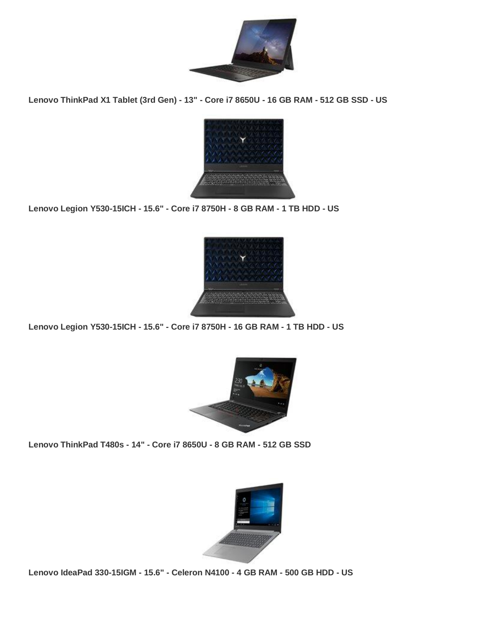

**Lenovo ThinkPad X1 Tablet (3rd Gen) - 13" - Core i7 8650U - 16 GB RAM - 512 GB SSD - US**



**Lenovo Legion Y530-15ICH - 15.6" - Core i7 8750H - 8 GB RAM - 1 TB HDD - US**



**Lenovo Legion Y530-15ICH - 15.6" - Core i7 8750H - 16 GB RAM - 1 TB HDD - US**



**Lenovo ThinkPad T480s - 14" - Core i7 8650U - 8 GB RAM - 512 GB SSD**



**Lenovo IdeaPad 330-15IGM - 15.6" - Celeron N4100 - 4 GB RAM - 500 GB HDD - US**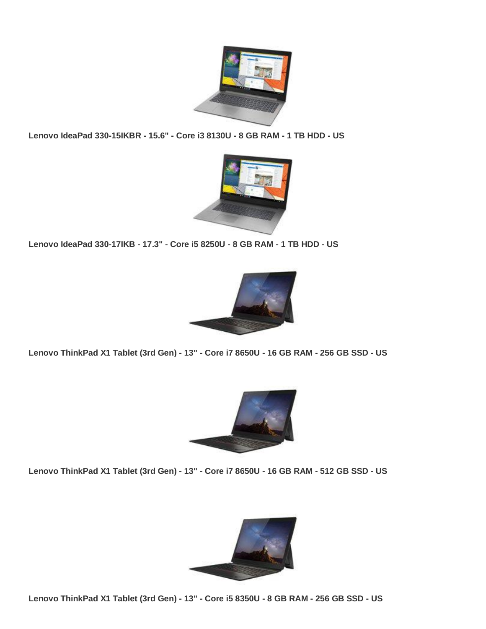

**Lenovo IdeaPad 330-15IKBR - 15.6" - Core i3 8130U - 8 GB RAM - 1 TB HDD - US**



**Lenovo IdeaPad 330-17IKB - 17.3" - Core i5 8250U - 8 GB RAM - 1 TB HDD - US**



**Lenovo ThinkPad X1 Tablet (3rd Gen) - 13" - Core i7 8650U - 16 GB RAM - 256 GB SSD - US**



**Lenovo ThinkPad X1 Tablet (3rd Gen) - 13" - Core i7 8650U - 16 GB RAM - 512 GB SSD - US**



**Lenovo ThinkPad X1 Tablet (3rd Gen) - 13" - Core i5 8350U - 8 GB RAM - 256 GB SSD - US**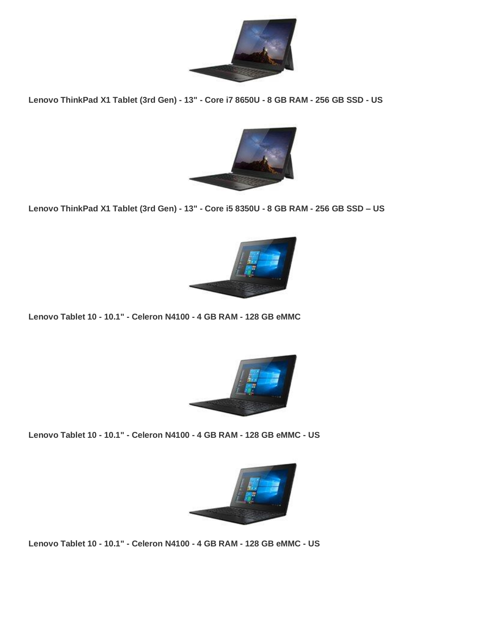

**Lenovo ThinkPad X1 Tablet (3rd Gen) - 13" - Core i7 8650U - 8 GB RAM - 256 GB SSD - US**



**Lenovo ThinkPad X1 Tablet (3rd Gen) - 13" - Core i5 8350U - 8 GB RAM - 256 GB SSD – US**



**Lenovo Tablet 10 - 10.1" - Celeron N4100 - 4 GB RAM - 128 GB eMMC**



**Lenovo Tablet 10 - 10.1" - Celeron N4100 - 4 GB RAM - 128 GB eMMC - US**



**Lenovo Tablet 10 - 10.1" - Celeron N4100 - 4 GB RAM - 128 GB eMMC - US**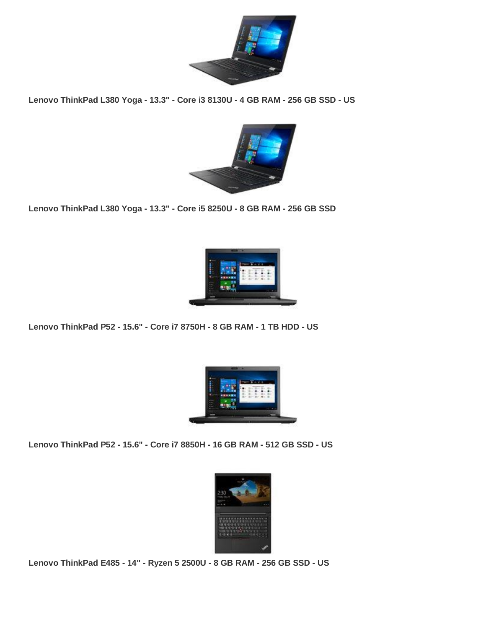

**Lenovo ThinkPad L380 Yoga - 13.3" - Core i3 8130U - 4 GB RAM - 256 GB SSD - US**



**Lenovo ThinkPad L380 Yoga - 13.3" - Core i5 8250U - 8 GB RAM - 256 GB SSD**



**Lenovo ThinkPad P52 - 15.6" - Core i7 8750H - 8 GB RAM - 1 TB HDD - US**



**Lenovo ThinkPad P52 - 15.6" - Core i7 8850H - 16 GB RAM - 512 GB SSD - US**



**Lenovo ThinkPad E485 - 14" - Ryzen 5 2500U - 8 GB RAM - 256 GB SSD - US**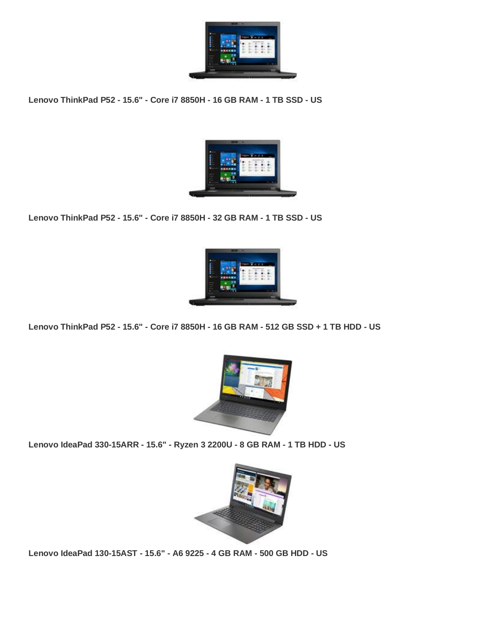

**Lenovo ThinkPad P52 - 15.6" - Core i7 8850H - 16 GB RAM - 1 TB SSD - US**



**Lenovo ThinkPad P52 - 15.6" - Core i7 8850H - 32 GB RAM - 1 TB SSD - US**



**Lenovo ThinkPad P52 - 15.6" - Core i7 8850H - 16 GB RAM - 512 GB SSD + 1 TB HDD - US**



**Lenovo IdeaPad 330-15ARR - 15.6" - Ryzen 3 2200U - 8 GB RAM - 1 TB HDD - US**



**Lenovo IdeaPad 130-15AST - 15.6" - A6 9225 - 4 GB RAM - 500 GB HDD - US**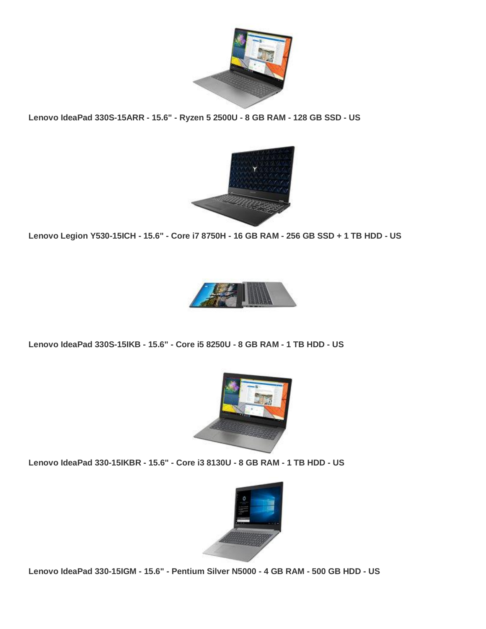

**Lenovo IdeaPad 330S-15ARR - 15.6" - Ryzen 5 2500U - 8 GB RAM - 128 GB SSD - US**



**Lenovo Legion Y530-15ICH - 15.6" - Core i7 8750H - 16 GB RAM - 256 GB SSD + 1 TB HDD - US**



**Lenovo IdeaPad 330S-15IKB - 15.6" - Core i5 8250U - 8 GB RAM - 1 TB HDD - US**



**Lenovo IdeaPad 330-15IKBR - 15.6" - Core i3 8130U - 8 GB RAM - 1 TB HDD - US**



**Lenovo IdeaPad 330-15IGM - 15.6" - Pentium Silver N5000 - 4 GB RAM - 500 GB HDD - US**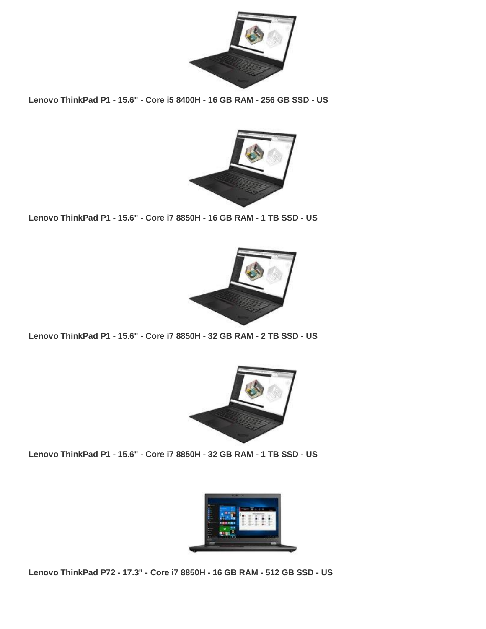

**Lenovo ThinkPad P1 - 15.6" - Core i5 8400H - 16 GB RAM - 256 GB SSD - US**



**Lenovo ThinkPad P1 - 15.6" - Core i7 8850H - 16 GB RAM - 1 TB SSD - US**



**Lenovo ThinkPad P1 - 15.6" - Core i7 8850H - 32 GB RAM - 2 TB SSD - US**



**Lenovo ThinkPad P1 - 15.6" - Core i7 8850H - 32 GB RAM - 1 TB SSD - US**



**Lenovo ThinkPad P72 - 17.3" - Core i7 8850H - 16 GB RAM - 512 GB SSD - US**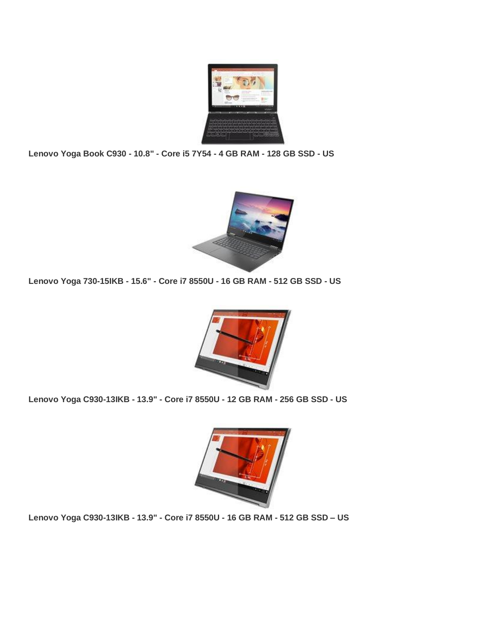

**Lenovo Yoga Book C930 - 10.8" - Core i5 7Y54 - 4 GB RAM - 128 GB SSD - US**



**Lenovo Yoga 730-15IKB - 15.6" - Core i7 8550U - 16 GB RAM - 512 GB SSD - US**



**Lenovo Yoga C930-13IKB - 13.9" - Core i7 8550U - 12 GB RAM - 256 GB SSD - US**



**Lenovo Yoga C930-13IKB - 13.9" - Core i7 8550U - 16 GB RAM - 512 GB SSD – US**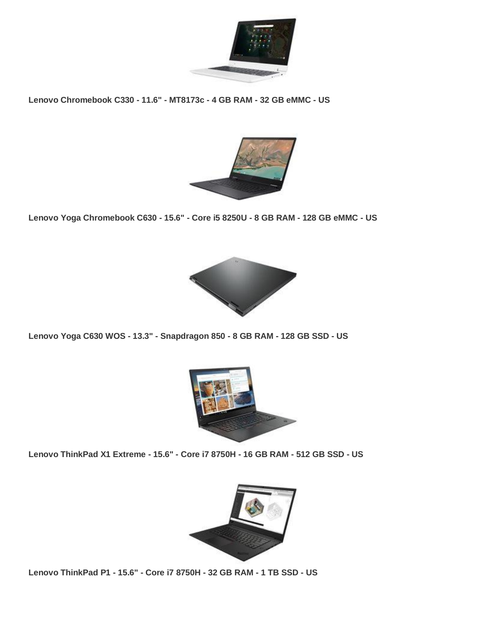

**Lenovo Chromebook C330 - 11.6" - MT8173c - 4 GB RAM - 32 GB eMMC - US**



**Lenovo Yoga Chromebook C630 - 15.6" - Core i5 8250U - 8 GB RAM - 128 GB eMMC - US**



**Lenovo Yoga C630 WOS - 13.3" - Snapdragon 850 - 8 GB RAM - 128 GB SSD - US**



**Lenovo ThinkPad X1 Extreme - 15.6" - Core i7 8750H - 16 GB RAM - 512 GB SSD - US**



**Lenovo ThinkPad P1 - 15.6" - Core i7 8750H - 32 GB RAM - 1 TB SSD - US**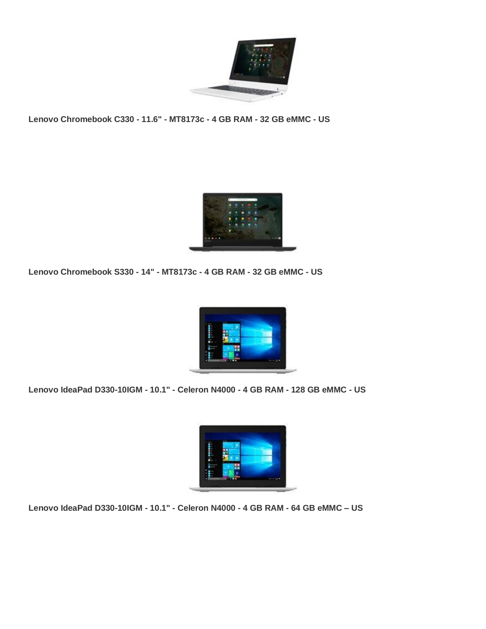

**Lenovo Chromebook C330 - 11.6" - MT8173c - 4 GB RAM - 32 GB eMMC - US**



**Lenovo Chromebook S330 - 14" - MT8173c - 4 GB RAM - 32 GB eMMC - US**



**Lenovo IdeaPad D330-10IGM - 10.1" - Celeron N4000 - 4 GB RAM - 128 GB eMMC - US**



**Lenovo IdeaPad D330-10IGM - 10.1" - Celeron N4000 - 4 GB RAM - 64 GB eMMC – US**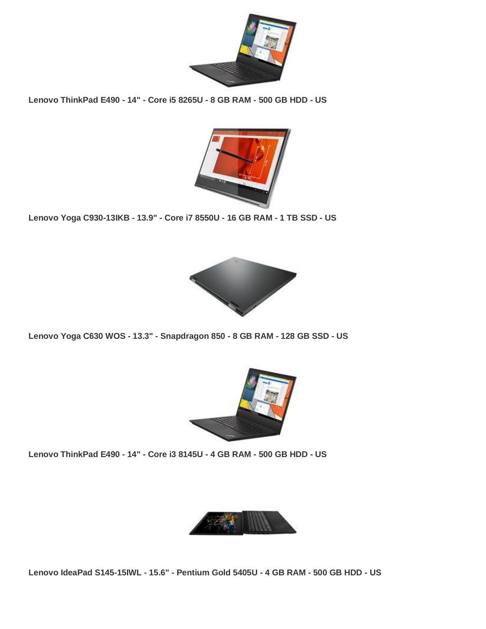

**Lenovo ThinkPad E490 - 14" - Core i5 8265U - 8 GB RAM - 500 GB HDD - US**



**Lenovo Yoga C930-13IKB - 13.9" - Core i7 8550U - 16 GB RAM - 1 TB SSD - US**



**Lenovo Yoga C630 WOS - 13.3" - Snapdragon 850 - 8 GB RAM - 128 GB SSD - US**



**Lenovo ThinkPad E490 - 14" - Core i3 8145U - 4 GB RAM - 500 GB HDD - US**



**Lenovo IdeaPad S145-15IWL - 15.6" - Pentium Gold 5405U - 4 GB RAM - 500 GB HDD - US**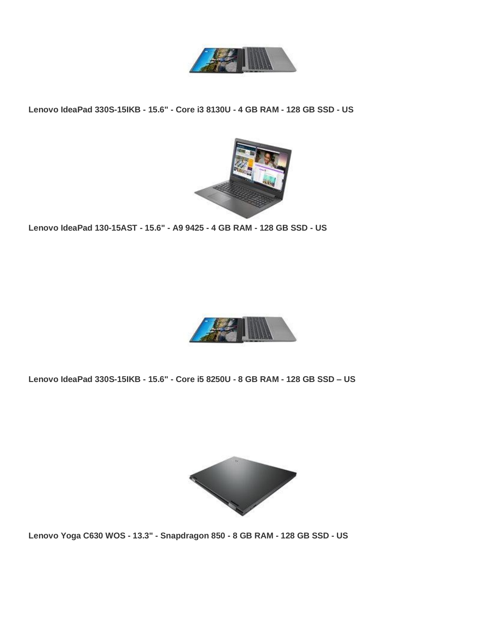

**Lenovo IdeaPad 330S-15IKB - 15.6" - Core i3 8130U - 4 GB RAM - 128 GB SSD - US**



**Lenovo IdeaPad 130-15AST - 15.6" - A9 9425 - 4 GB RAM - 128 GB SSD - US**



**Lenovo IdeaPad 330S-15IKB - 15.6" - Core i5 8250U - 8 GB RAM - 128 GB SSD – US**



**Lenovo Yoga C630 WOS - 13.3" - Snapdragon 850 - 8 GB RAM - 128 GB SSD - US**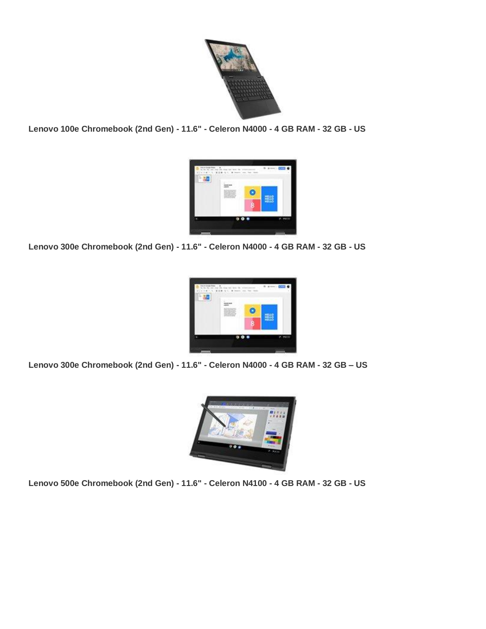

**Lenovo 100e Chromebook (2nd Gen) - 11.6" - Celeron N4000 - 4 GB RAM - 32 GB - US**



**Lenovo 300e Chromebook (2nd Gen) - 11.6" - Celeron N4000 - 4 GB RAM - 32 GB - US**



**Lenovo 300e Chromebook (2nd Gen) - 11.6" - Celeron N4000 - 4 GB RAM - 32 GB – US**



**Lenovo 500e Chromebook (2nd Gen) - 11.6" - Celeron N4100 - 4 GB RAM - 32 GB - US**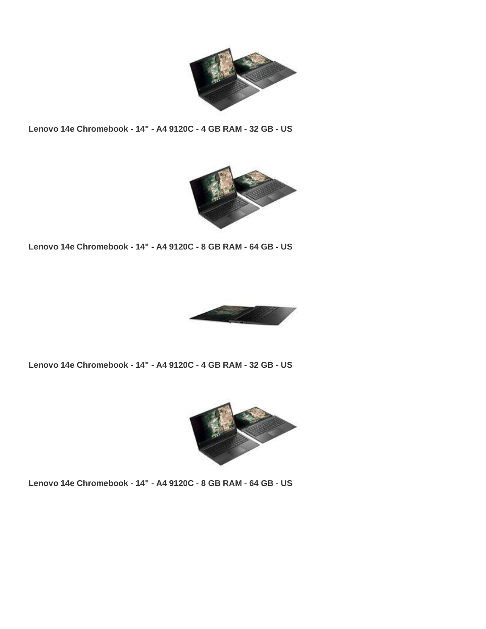

**Lenovo 14e Chromebook - 14" - A4 9120C - 4 GB RAM - 32 GB - US**



**Lenovo 14e Chromebook - 14" - A4 9120C - 8 GB RAM - 64 GB - US**



**Lenovo 14e Chromebook - 14" - A4 9120C - 4 GB RAM - 32 GB - US**



**Lenovo 14e Chromebook - 14" - A4 9120C - 8 GB RAM - 64 GB - US**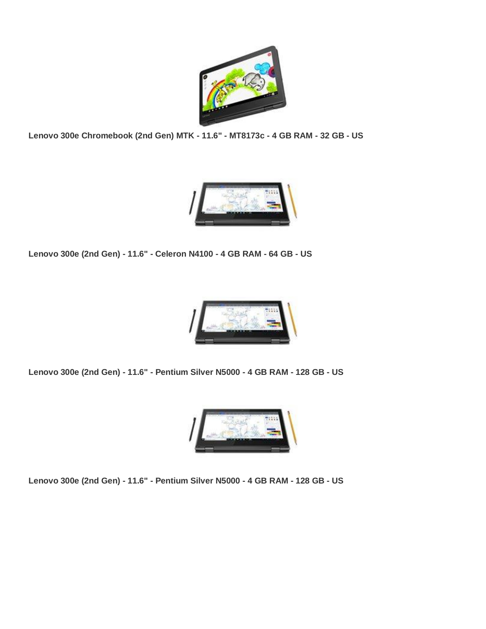

**Lenovo 300e Chromebook (2nd Gen) MTK - 11.6" - MT8173c - 4 GB RAM - 32 GB - US**



**Lenovo 300e (2nd Gen) - 11.6" - Celeron N4100 - 4 GB RAM - 64 GB - US**



**Lenovo 300e (2nd Gen) - 11.6" - Pentium Silver N5000 - 4 GB RAM - 128 GB - US**



**Lenovo 300e (2nd Gen) - 11.6" - Pentium Silver N5000 - 4 GB RAM - 128 GB - US**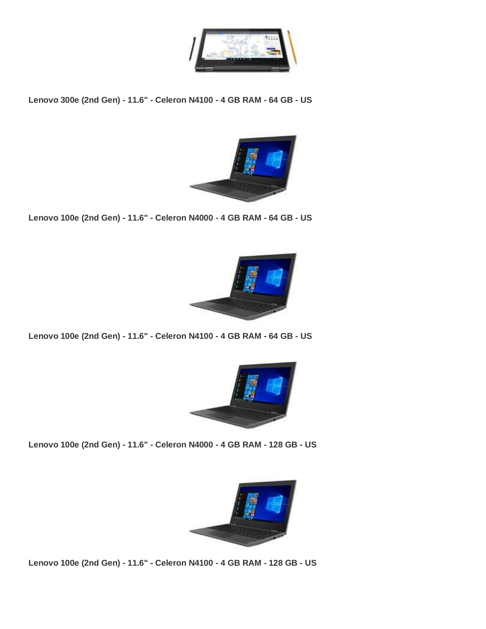

**Lenovo 300e (2nd Gen) - 11.6" - Celeron N4100 - 4 GB RAM - 64 GB - US**



**Lenovo 100e (2nd Gen) - 11.6" - Celeron N4000 - 4 GB RAM - 64 GB - US**



**Lenovo 100e (2nd Gen) - 11.6" - Celeron N4100 - 4 GB RAM - 64 GB - US**



**Lenovo 100e (2nd Gen) - 11.6" - Celeron N4000 - 4 GB RAM - 128 GB - US**



**Lenovo 100e (2nd Gen) - 11.6" - Celeron N4100 - 4 GB RAM - 128 GB - US**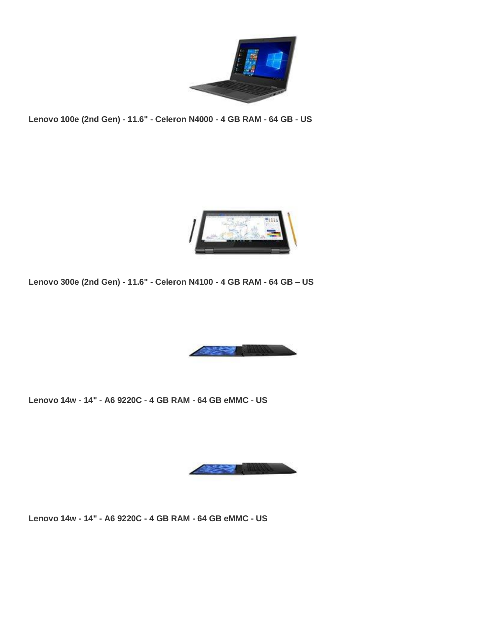

**Lenovo 100e (2nd Gen) - 11.6" - Celeron N4000 - 4 GB RAM - 64 GB - US**



**Lenovo 300e (2nd Gen) - 11.6" - Celeron N4100 - 4 GB RAM - 64 GB – US**



**Lenovo 14w - 14" - A6 9220C - 4 GB RAM - 64 GB eMMC - US**



**Lenovo 14w - 14" - A6 9220C - 4 GB RAM - 64 GB eMMC - US**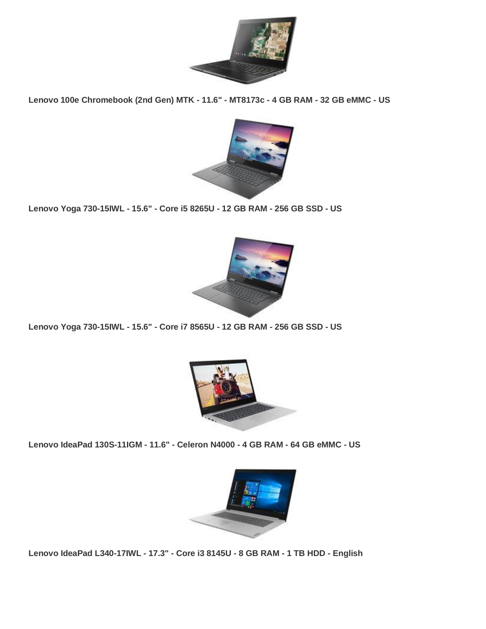

**Lenovo 100e Chromebook (2nd Gen) MTK - 11.6" - MT8173c - 4 GB RAM - 32 GB eMMC - US**



**Lenovo Yoga 730-15IWL - 15.6" - Core i5 8265U - 12 GB RAM - 256 GB SSD - US**



**Lenovo Yoga 730-15IWL - 15.6" - Core i7 8565U - 12 GB RAM - 256 GB SSD - US**



**Lenovo IdeaPad 130S-11IGM - 11.6" - Celeron N4000 - 4 GB RAM - 64 GB eMMC - US**



**Lenovo IdeaPad L340-17IWL - 17.3" - Core i3 8145U - 8 GB RAM - 1 TB HDD - English**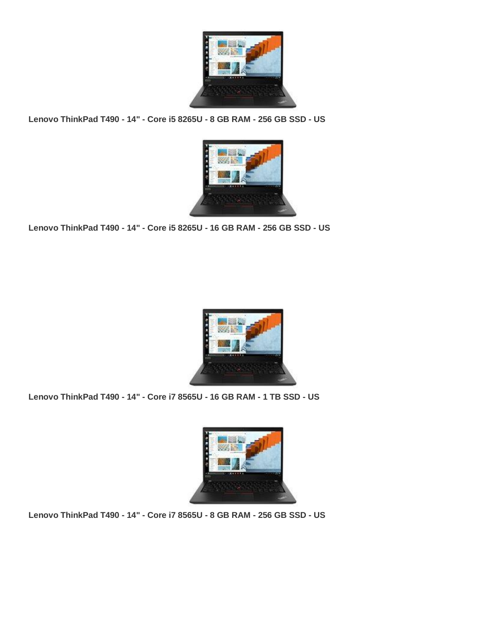

**Lenovo ThinkPad T490 - 14" - Core i5 8265U - 8 GB RAM - 256 GB SSD - US**



**Lenovo ThinkPad T490 - 14" - Core i5 8265U - 16 GB RAM - 256 GB SSD - US**



**Lenovo ThinkPad T490 - 14" - Core i7 8565U - 16 GB RAM - 1 TB SSD - US**



**Lenovo ThinkPad T490 - 14" - Core i7 8565U - 8 GB RAM - 256 GB SSD - US**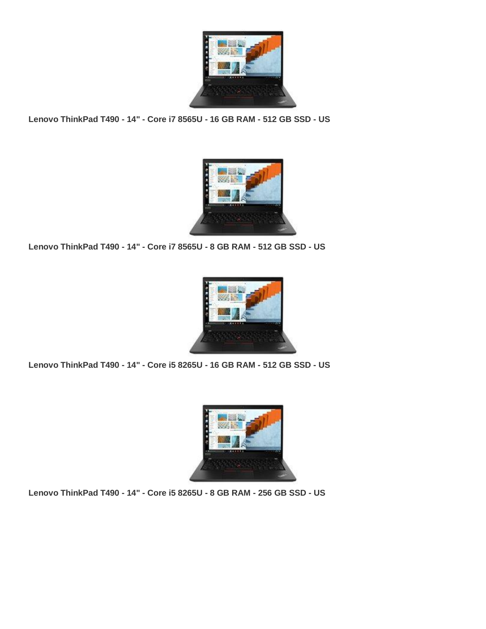

**Lenovo ThinkPad T490 - 14" - Core i7 8565U - 16 GB RAM - 512 GB SSD - US**



**Lenovo ThinkPad T490 - 14" - Core i7 8565U - 8 GB RAM - 512 GB SSD - US**



**Lenovo ThinkPad T490 - 14" - Core i5 8265U - 16 GB RAM - 512 GB SSD - US**



**Lenovo ThinkPad T490 - 14" - Core i5 8265U - 8 GB RAM - 256 GB SSD - US**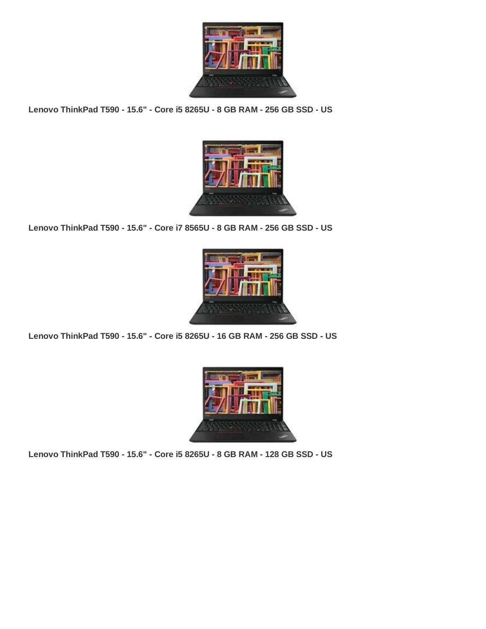

**Lenovo ThinkPad T590 - 15.6" - Core i5 8265U - 8 GB RAM - 256 GB SSD - US**



**Lenovo ThinkPad T590 - 15.6" - Core i7 8565U - 8 GB RAM - 256 GB SSD - US**



**Lenovo ThinkPad T590 - 15.6" - Core i5 8265U - 16 GB RAM - 256 GB SSD - US**



**Lenovo ThinkPad T590 - 15.6" - Core i5 8265U - 8 GB RAM - 128 GB SSD - US**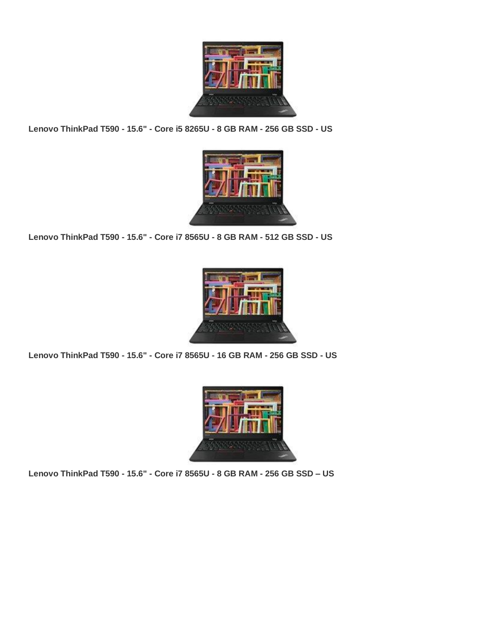

**Lenovo ThinkPad T590 - 15.6" - Core i5 8265U - 8 GB RAM - 256 GB SSD - US**



**Lenovo ThinkPad T590 - 15.6" - Core i7 8565U - 8 GB RAM - 512 GB SSD - US**



**Lenovo ThinkPad T590 - 15.6" - Core i7 8565U - 16 GB RAM - 256 GB SSD - US**



**Lenovo ThinkPad T590 - 15.6" - Core i7 8565U - 8 GB RAM - 256 GB SSD – US**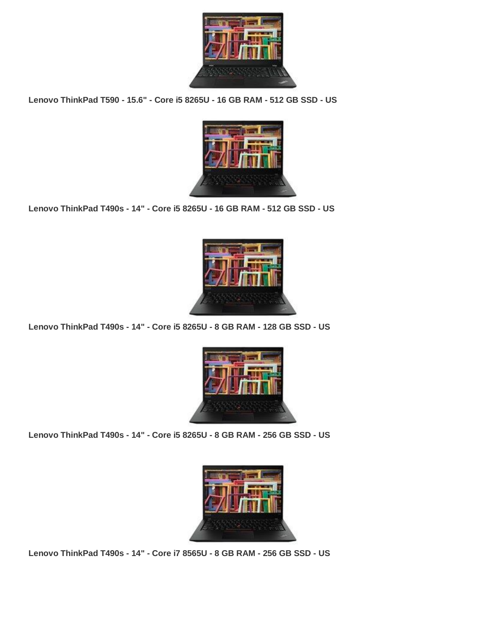

**Lenovo ThinkPad T590 - 15.6" - Core i5 8265U - 16 GB RAM - 512 GB SSD - US**



**Lenovo ThinkPad T490s - 14" - Core i5 8265U - 16 GB RAM - 512 GB SSD - US**



**Lenovo ThinkPad T490s - 14" - Core i5 8265U - 8 GB RAM - 128 GB SSD - US**



**Lenovo ThinkPad T490s - 14" - Core i5 8265U - 8 GB RAM - 256 GB SSD - US**



**Lenovo ThinkPad T490s - 14" - Core i7 8565U - 8 GB RAM - 256 GB SSD - US**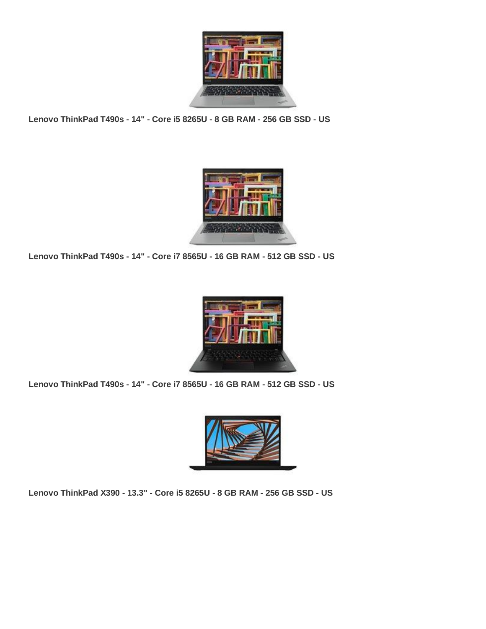

**Lenovo ThinkPad T490s - 14" - Core i5 8265U - 8 GB RAM - 256 GB SSD - US**



**Lenovo ThinkPad T490s - 14" - Core i7 8565U - 16 GB RAM - 512 GB SSD - US**



**Lenovo ThinkPad T490s - 14" - Core i7 8565U - 16 GB RAM - 512 GB SSD - US**



**Lenovo ThinkPad X390 - 13.3" - Core i5 8265U - 8 GB RAM - 256 GB SSD - US**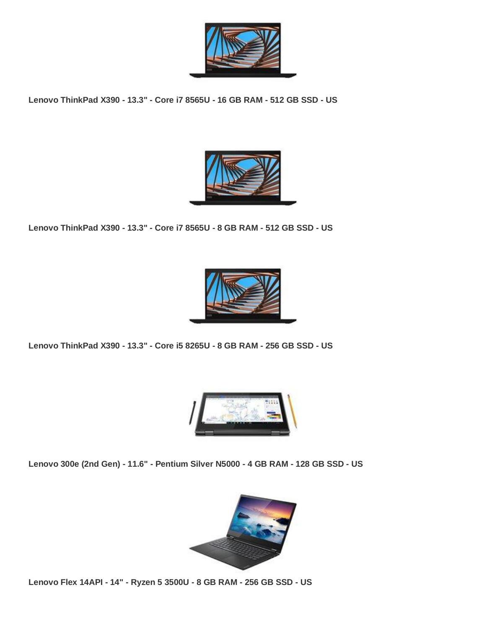

**Lenovo ThinkPad X390 - 13.3" - Core i7 8565U - 16 GB RAM - 512 GB SSD - US**



**Lenovo ThinkPad X390 - 13.3" - Core i7 8565U - 8 GB RAM - 512 GB SSD - US**



**Lenovo ThinkPad X390 - 13.3" - Core i5 8265U - 8 GB RAM - 256 GB SSD - US**



**Lenovo 300e (2nd Gen) - 11.6" - Pentium Silver N5000 - 4 GB RAM - 128 GB SSD - US**



**Lenovo Flex 14API - 14" - Ryzen 5 3500U - 8 GB RAM - 256 GB SSD - US**